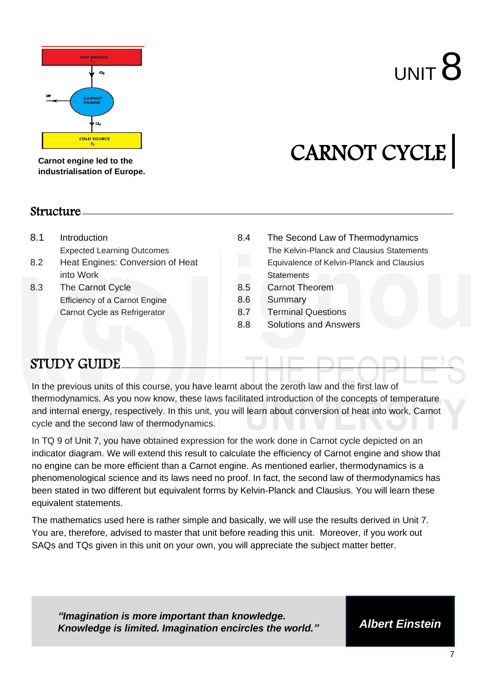

# $U$ NIT  $B$

## CARNOT CYCLE

**Carnot engine led to the industrialisation of Europe.**

#### Structure

- 8.1 Introduction Expected Learning Outcomes
- 8.2 Heat Engines: Conversion of Heat into Work
- 8.3 The Carnot Cycle Efficiency of a Carnot Engine Carnot Cycle as Refrigerator
- 8.4 The Second Law of Thermodynamics The Kelvin-Planck and Clausius Statements Equivalence of Kelvin-Planck and Clausius **Statements**
- 8.5 Carnot Theorem
- 8.6 Summary
- 8.7 Terminal Questions
- 8.8 Solutions and Answers

#### STUDY GUIDE

In the previous units of this course, you have learnt about the zeroth law and the first law of thermodynamics. As you now know, these laws facilitated introduction of the concepts of temperature and internal energy, respectively. In this unit, you will learn about conversion of heat into work, Carnot cycle and the second law of thermodynamics.

In TQ 9 of Unit 7, you have obtained expression for the work done in Carnot cycle depicted on an indicator diagram. We will extend this result to calculate the efficiency of Carnot engine and show that no engine can be more efficient than a Carnot engine. As mentioned earlier, thermodynamics is a phenomenological science and its laws need no proof. In fact, the second law of thermodynamics has been stated in two different but equivalent forms by Kelvin-Planck and Clausius. You will learn these equivalent statements.

The mathematics used here is rather simple and basically, we will use the results derived in Unit 7. You are, therefore, advised to master that unit before reading this unit. Moreover, if you work out SAQs and TQs given in this unit on your own, you will appreciate the subject matter better.

*"Imagination is more important than knowledge. Knowledge is limited. Imagination encircles the world." Albert Einstein*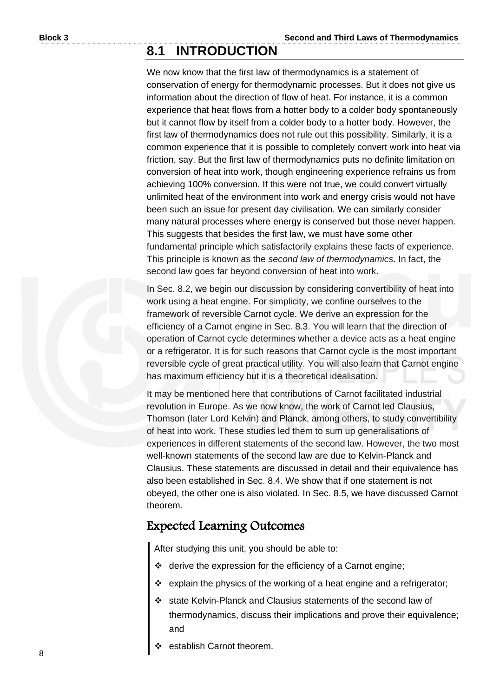#### **8.1 INTRODUCTION**

We now know that the first law of thermodynamics is a statement of conservation of energy for thermodynamic processes. But it does not give us information about the direction of flow of heat. For instance, it is a common experience that heat flows from a hotter body to a colder body spontaneously but it cannot flow by itself from a colder body to a hotter body. However, the first law of thermodynamics does not rule out this possibility. Similarly, it is a common experience that it is possible to completely convert work into heat via friction, say. But the first law of thermodynamics puts no definite limitation on conversion of heat into work, though engineering experience refrains us from achieving 100% conversion. If this were not true, we could convert virtually unlimited heat of the environment into work and energy crisis would not have been such an issue for present day civilisation. We can similarly consider many natural processes where energy is conserved but those never happen. This suggests that besides the first law, we must have some other fundamental principle which satisfactorily explains these facts of experience. This principle is known as the *second law of thermodynamics*. In fact, the second law goes far beyond conversion of heat into work.

In Sec. 8.2, we begin our discussion by considering convertibility of heat into work using a heat engine. For simplicity, we confine ourselves to the framework of reversible Carnot cycle. We derive an expression for the efficiency of a Carnot engine in Sec. 8.3. You will learn that the direction of operation of Carnot cycle determines whether a device acts as a heat engine or a refrigerator. It is for such reasons that Carnot cycle is the most important reversible cycle of great practical utility. You will also learn that Carnot engine has maximum efficiency but it is a theoretical idealisation.

It may be mentioned here that contributions of Carnot facilitated industrial revolution in Europe. As we now know, the work of Carnot led Clausius, Thomson (later Lord Kelvin) and Planck, among others, to study convertibility of heat into work. These studies led them to sum up generalisations of experiences in different statements of the second law. However, the two most well-known statements of the second law are due to Kelvin-Planck and Clausius. These statements are discussed in detail and their equivalence has also been established in Sec. 8.4. We show that if one statement is not obeyed, the other one is also violated. In Sec. 8.5, we have discussed Carnot theorem.

#### Expected Learning Outcomes

After studying this unit, you should be able to:

- ❖ derive the expression for the efficiency of a Carnot engine;
- ❖ explain the physics of the working of a heat engine and a refrigerator;
- ❖ state Kelvin-Planck and Clausius statements of the second law of thermodynamics, discuss their implications and prove their equivalence; and
- establish Carnot theorem.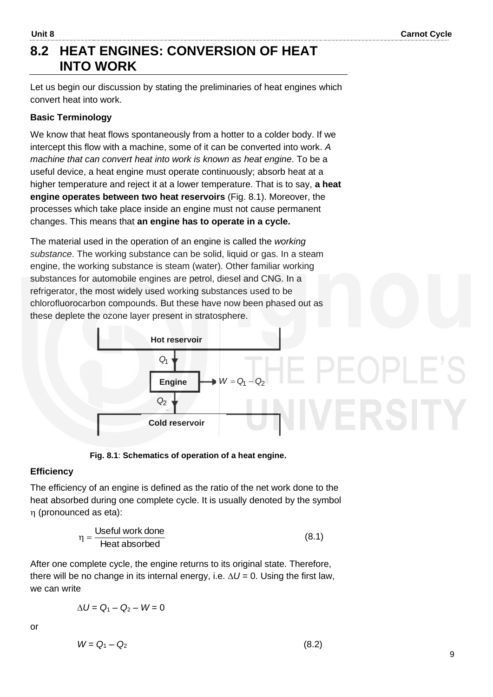#### **8.2 HEAT ENGINES: CONVERSION OF HEAT INTO WORK**

Let us begin our discussion by stating the preliminaries of heat engines which convert heat into work.

#### **Basic Terminology**

We know that heat flows spontaneously from a hotter to a colder body. If we intercept this flow with a machine, some of it can be converted into work. *A machine that can convert heat into work is known as heat engine*. To be a useful device, a heat engine must operate continuously; absorb heat at a higher temperature and reject it at a lower temperature. That is to say, **a heat engine operates between two heat reservoirs** (Fig. 8.1). Moreover, the processes which take place inside an engine must not cause permanent changes. This means that **an engine has to operate in a cycle.**

The material used in the operation of an engine is called the *working substance*. The working substance can be solid, liquid or gas. In a steam engine, the working substance is steam (water). Other familiar working substances for automobile engines are petrol, diesel and CNG. In a refrigerator, the most widely used working substances used to be chlorofluorocarbon compounds. But these have now been phased out as these deplete the ozone layer present in stratosphere.



**Fig. 8.1**: **Schematics of operation of a heat engine.**

#### **Efficiency**

The efficiency of an engine is defined as the ratio of the net work done to the heat absorbed during one complete cycle. It is usually denoted by the symbol (pronounced as eta):

$$
\eta = \frac{\text{Useful work done}}{\text{Heat absorbed}}\tag{8.1}
$$

After one complete cycle, the engine returns to its original state. Therefore, there will be no change in its internal energy, i.e.  $\Delta U = 0$ . Using the first law, we can write

 $\Delta U = Q_1 - Q_2 - W = 0$ 

or

$$
W = Q_1 - Q_2 \tag{8.2}
$$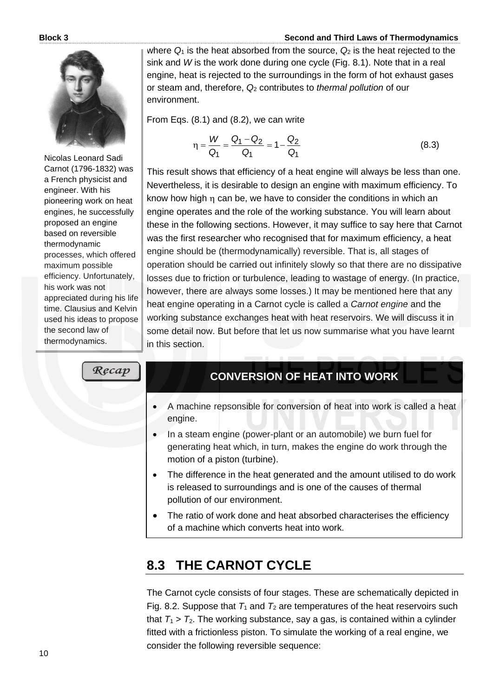

Nicolas Leonard Sadi Carnot (1796-1832) was a French physicist and engineer. With his pioneering work on heat engines, he successfully proposed an engine based on reversible thermodynamic processes, which offered maximum possible efficiency. Unfortunately, his work was not appreciated during his life time. Clausius and Kelvin used his ideas to propose the second law of thermodynamics.

where  $Q_1$  is the heat absorbed from the source,  $Q_2$  is the heat rejected to the sink and *W* is the work done during one cycle (Fig. 8.1). Note that in a real engine, heat is rejected to the surroundings in the form of hot exhaust gases or steam and, therefore, *Q*<sup>2</sup> contributes to *thermal pollution* of our environment.

From Eqs. (8.1) and (8.2), we can write

$$
\eta = \frac{W}{Q_1} = \frac{Q_1 - Q_2}{Q_1} = 1 - \frac{Q_2}{Q_1}
$$
\n(8.3)

This result shows that efficiency of a heat engine will always be less than one. Nevertheless, it is desirable to design an engine with maximum efficiency. To know how high  $\eta$  can be, we have to consider the conditions in which an engine operates and the role of the working substance. You will learn about these in the following sections. However, it may suffice to say here that Carnot was the first researcher who recognised that for maximum efficiency, a heat engine should be (thermodynamically) reversible. That is, all stages of operation should be carried out infinitely slowly so that there are no dissipative losses due to friction or turbulence, leading to wastage of energy. (In practice, however, there are always some losses.) It may be mentioned here that any heat engine operating in a Carnot cycle is called a *Carnot engine* and the working substance exchanges heat with heat reservoirs. We will discuss it in some detail now. But before that let us now summarise what you have learnt in this section.

Recap

#### **CONVERSION OF HEAT INTO WORK**

- A machine repsonsible for conversion of heat into work is called a heat engine.
- In a steam engine (power-plant or an automobile) we burn fuel for generating heat which, in turn, makes the engine do work through the motion of a piston (turbine).
- The difference in the heat generated and the amount utilised to do work is released to surroundings and is one of the causes of thermal pollution of our environment.
- The ratio of work done and heat absorbed characterises the efficiency of a machine which converts heat into work.

#### **8.3 THE CARNOT CYCLE**

The Carnot cycle consists of four stages. These are schematically depicted in Fig. 8.2. Suppose that  $T_1$  and  $T_2$  are temperatures of the heat reservoirs such that  $T_1$  >  $T_2$ . The working substance, say a gas, is contained within a cylinder fitted with a frictionless piston. To simulate the working of a real engine, we consider the following reversible sequence: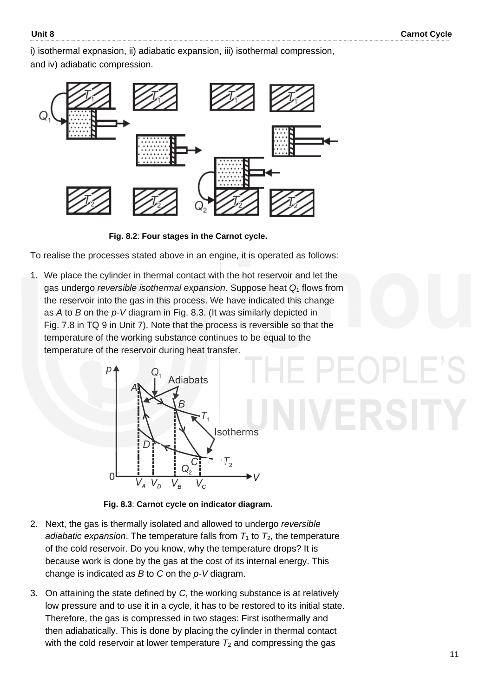i) isothermal expnasion, ii) adiabatic expansion, iii) isothermal compression, and iv) adiabatic compression.



**Fig. 8.2**: **Four stages in the Carnot cycle.**

To realise the processes stated above in an engine, it is operated as follows:

1*.* We place the cylinder in thermal contact with the hot reservoir and let the gas undergo *reversible isothermal expansion*. Suppose heat *Q*<sup>1</sup> flows from the reservoir into the gas in this process. We have indicated this change as *A* to *B* on the *p*-*V* diagram in Fig. 8.3. (It was similarly depicted in Fig. 7.8 in TQ 9 in Unit 7). Note that the process is reversible so that the temperature of the working substance continues to be equal to the temperature of the reservoir during heat transfer.



**Fig. 8.3**: **Carnot cycle on indicator diagram.**

- 2. Next, the gas is thermally isolated and allowed to undergo *reversible adiabatic expansion*. The temperature falls from  $T_1$  to  $T_2$ , the temperature of the cold reservoir. Do you know, why the temperature drops? It is because work is done by the gas at the cost of its internal energy. This change is indicated as *B* to *C* on the *p*-*V* diagram.
- 3. On attaining the state defined by *C*, the working substance is at relatively low pressure and to use it in a cycle, it has to be restored to its initial state. Therefore, the gas is compressed in two stages: First isothermally and then adiabatically. This is done by placing the cylinder in thermal contact with the cold reservoir at lower temperature  $T_2$  and compressing the gas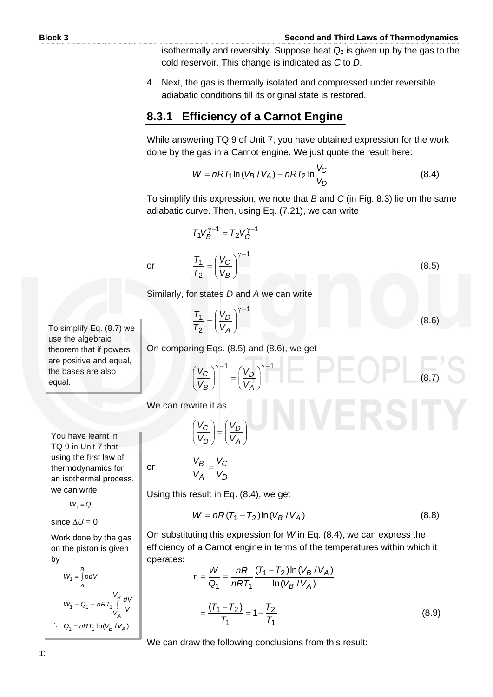(8.5)

(8.6)

isothermally and reversibly. Suppose heat *Q*<sup>2</sup> is given up by the gas to the cold reservoir. This change is indicated as *C* to *D*.

4. Next, the gas is thermally isolated and compressed under reversible adiabatic conditions till its original state is restored.

#### **8.3.1 Efficiency of a Carnot Engine**

While answering TQ 9 of Unit 7, you have obtained expression for the work done by the gas in a Carnot engine. We just quote the result here:

$$
W = nRT_1 \ln (V_B / V_A) - nRT_2 \ln \frac{V_C}{V_D}
$$
 (8.4)

To simplify this expression, we note that *B* and *C* (in Fig. 8.3) lie on the same adiabatic curve. Then, using Eq. (7.21), we can write

$$
T_1 V_B^{\gamma - 1} = T_2 V_C^{\gamma - 1}
$$

$$
\frac{T_1}{T} = \left(\frac{V_C}{V}\right)^{\gamma - 1}
$$

or

or

Similarly, for states *D* and *A* we can write

*B C V*

 $\overline{\phantom{a}}$  $\bigg)$ 

2 1

2 1

*T T*

*T*

l  $\overline{\phantom{0}}$ 

$$
= \left(\frac{V_D}{V_A}\right)^{\gamma-1}
$$

 $\overline{\phantom{a}}$ I J  $\setminus$ 

To simplify Eq. (8.7) we use the algebraic theorem that if powers are positive and equal, the bases are also equal.

On comparing Eqs. (8.5) and (8.6), we get

$$
\left(\frac{V_C}{V_B}\right)^{\gamma-1} = \left(\frac{V_D}{V_A}\right)^{\gamma-1} \tag{8.7}
$$

**IIVERSITY** 

We can rewrite it as

$$
\left(\frac{V_C}{V_B}\right) = \left(\frac{V_D}{V_A}\right)
$$

You have learnt in TQ 9 in Unit 7 that using the first law of

thermodynamics for an isothermal process, we can write

 $W_1 = Q_1$ 

since  $\Delta U = 0$ 

Work done by the gas on the piston is given by

$$
W_1 = \int_A^B pdV
$$
  

$$
W_1 = Q_1 = nRT_1 \int_{V_A}^{V_B} \frac{dV}{V}
$$
  

$$
\therefore Q_1 = nRT_1 \ln(V_B/V_A)
$$

$$
\frac{V_B}{V_A} = \frac{V_C}{V_D}
$$

Using this result in Eq. (8.4), we get

$$
W = nR(T_1 - T_2) \ln(V_B / V_A)
$$
 (8.8)

On substituting this expression for *W* in Eq. (8.4), we can express the efficiency of a Carnot engine in terms of the temperatures within which it operates:

$$
\eta = \frac{W}{Q_1} = \frac{nR}{nRT_1} \frac{(T_1 - T_2) \ln(V_B / V_A)}{\ln(V_B / V_A)}
$$

$$
= \frac{(T_1 - T_2)}{T_1} = 1 - \frac{T_2}{T_1}
$$
(8.9)

We can draw the following conclusions from this result: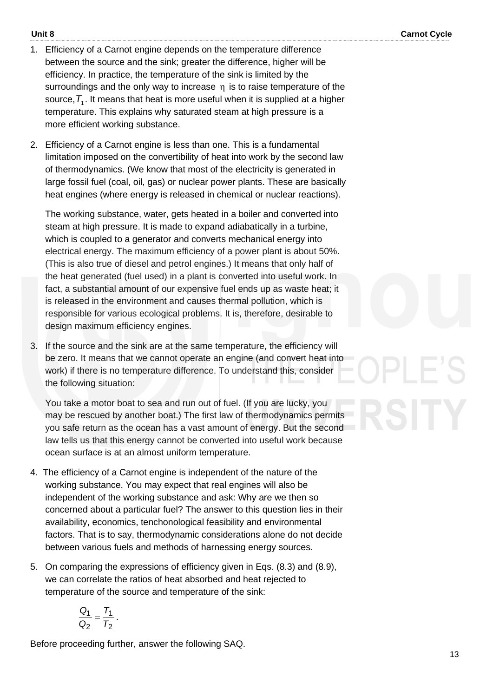- 1. Efficiency of a Carnot engine depends on the temperature difference between the source and the sink; greater the difference, higher will be efficiency. In practice, the temperature of the sink is limited by the surroundings and the only way to increase  $\eta$  is to raise temperature of the source,  $\mathcal{T}_1.$  It means that heat is more useful when it is supplied at a higher temperature. This explains why saturated steam at high pressure is a more efficient working substance.
- 2. Efficiency of a Carnot engine is less than one. This is a fundamental limitation imposed on the convertibility of heat into work by the second law of thermodynamics. (We know that most of the electricity is generated in large fossil fuel (coal, oil, gas) or nuclear power plants. These are basically heat engines (where energy is released in chemical or nuclear reactions).

The working substance, water, gets heated in a boiler and converted into steam at high pressure. It is made to expand adiabatically in a turbine, which is coupled to a generator and converts mechanical energy into electrical energy. The maximum efficiency of a power plant is about 50%. (This is also true of diesel and petrol engines.) It means that only half of the heat generated (fuel used) in a plant is converted into useful work. In fact, a substantial amount of our expensive fuel ends up as waste heat; it is released in the environment and causes thermal pollution, which is responsible for various ecological problems. It is, therefore, desirable to design maximum efficiency engines.

3. If the source and the sink are at the same temperature, the efficiency will be zero. It means that we cannot operate an engine (and convert heat into work) if there is no temperature difference. To understand this, consider the following situation:

You take a motor boat to sea and run out of fuel. (If you are lucky, you may be rescued by another boat.) The first law of thermodynamics permits you safe return as the ocean has a vast amount of energy. But the second law tells us that this energy cannot be converted into useful work because ocean surface is at an almost uniform temperature.

- 4. The efficiency of a Carnot engine is independent of the nature of the working substance. You may expect that real engines will also be independent of the working substance and ask: Why are we then so concerned about a particular fuel? The answer to this question lies in their availability, economics, tenchonological feasibility and environmental factors. That is to say, thermodynamic considerations alone do not decide between various fuels and methods of harnessing energy sources.
- 5. On comparing the expressions of efficiency given in Eqs. (8.3) and (8.9), we can correlate the ratios of heat absorbed and heat rejected to temperature of the source and temperature of the sink:

$$
\frac{Q_1}{Q_2} = \frac{T_1}{T_2}.
$$

Before proceeding further, answer the following SAQ.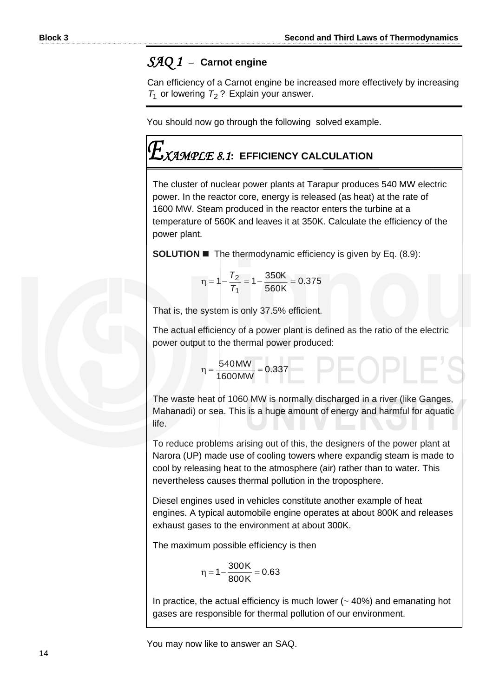#### *SAQ 1* –**Carnot engine**

Can efficiency of a Carnot engine be increased more effectively by increasing  $T_1$  or lowering  $T_2$ ? Explain your answer.

You should now go through the following solved example.

## *XAMPLE 8.1***: EFFICIENCY CALCULATION**

The cluster of nuclear power plants at Tarapur produces 540 MW electric power. In the reactor core, energy is released (as heat) at the rate of 1600 MW. Steam produced in the reactor enters the turbine at a temperature of 560K and leaves it at 350K. Calculate the efficiency of the power plant.

**SOLUTION ■** The thermodynamic efficiency is given by Eq. (8.9):

$$
\eta = 1 - \frac{T_2}{T_1} = 1 - \frac{350K}{560K} = 0.375
$$

That is, the system is only 37.5% efficient.

The actual efficiency of a power plant is defined as the ratio of the electric power output to the thermal power produced:

$$
\eta = \frac{540 \text{MW}}{1600 \text{MW}} = 0.337
$$

The waste heat of 1060 MW is normally discharged in a river (like Ganges, Mahanadi) or sea. This is a huge amount of energy and harmful for aquatic life.

To reduce problems arising out of this, the designers of the power plant at Narora (UP) made use of cooling towers where expandig steam is made to cool by releasing heat to the atmosphere (air) rather than to water. This nevertheless causes thermal pollution in the troposphere.

Diesel engines used in vehicles constitute another example of heat engines. A typical automobile engine operates at about 800K and releases exhaust gases to the environment at about 300K.

The maximum possible efficiency is then

$$
\eta = 1 - \frac{300K}{800K} = 0.63
$$

In practice, the actual efficiency is much lower  $($   $\sim$  40%) and emanating hot gases are responsible for thermal pollution of our environment.

You may now like to answer an SAQ.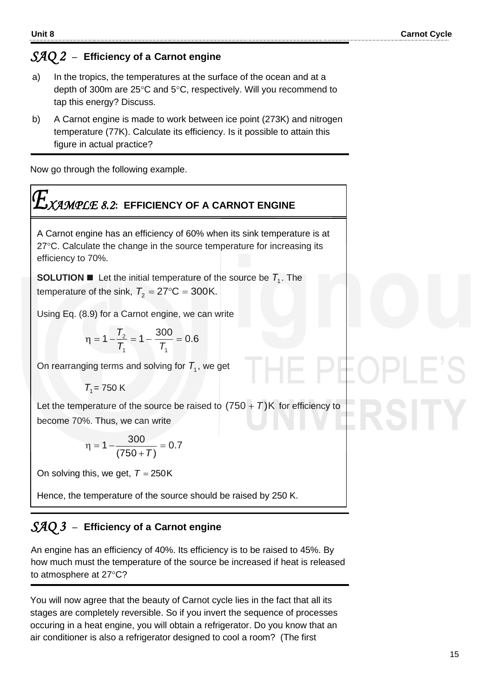#### *SAQ 2* –**Efficiency of a****Carnot engine**

- a) In the tropics, the temperatures at the surface of the ocean and at a depth of 300m are  $25^{\circ}$ C and  $5^{\circ}$ C, respectively. Will you recommend to tap this energy? Discuss.
- b) A Carnot engine is made to work between ice point (273K) and nitrogen temperature (77K). Calculate its efficiency. Is it possible to attain this figure in actual practice?

Now go through the following example.

$$
E_{XAMPLE 8.2: EFFCIENCY OF A CARNOT ENGINE}
$$

A Carnot engine has an efficiency of 60% when its sink temperature is at  $27^{\circ}$ C. Calculate the change in the source temperature for increasing its efficiency to 70%.

**SOLUTION ■** Let the initial temperature of the source be  $T_1$ . The temperature of the sink,  $T_2 = 27$ °C = 300K.

Using Eq. (8.9) for a Carnot engine, we can write

$$
\eta = 1 - \frac{T_2}{T_1} = 1 - \frac{300}{T_1} = 0.6
$$

On rearranging terms and solving for  $T_{1}$ , we get

$$
T_1 = 750 \text{ K}
$$

Let the temperature of the source be raised to  $(750 + T)$ K for efficiency to become 70%. Thus, we can write

$$
\eta = 1 - \frac{300}{(750 + T)} = 0.7
$$

On solving this, we get,  $T = 250K$ 

Hence, the temperature of the source should be raised by 250 K.

### *SAQ 3* –**Efficiency of a****Carnot engine**

An engine has an efficiency of 40%. Its efficiency is to be raised to 45%. By how much must the temperature of the source be increased if heat is released to atmosphere at 27°C?

You will now agree that the beauty of Carnot cycle lies in the fact that all its stages are completely reversible. So if you invert the sequence of processes occuring in a heat engine, you will obtain a refrigerator. Do you know that an air conditioner is also a refrigerator designed to cool a room? (The first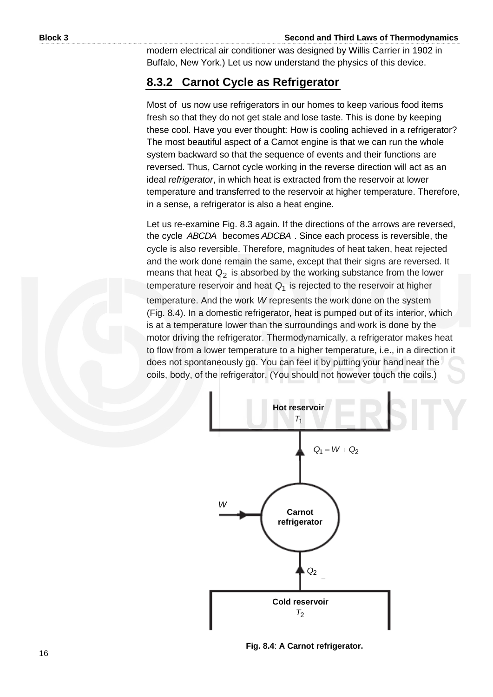modern electrical air conditioner was designed by Willis Carrier in 1902 in Buffalo, New York.) Let us now understand the physics of this device.

#### **8.3.2 Carnot Cycle as Refrigerator**

Most of us now use refrigerators in our homes to keep various food items fresh so that they do not get stale and lose taste. This is done by keeping these cool. Have you ever thought: How is cooling achieved in a refrigerator? The most beautiful aspect of a Carnot engine is that we can run the whole system backward so that the sequence of events and their functions are reversed. Thus, Carnot cycle working in the reverse direction will act as an ideal *refrigerator*, in which heat is extracted from the reservoir at lower temperature and transferred to the reservoir at higher temperature. Therefore, in a sense, a refrigerator is also a heat engine.

Let us re-examine Fig. 8.3 again. If the directions of the arrows are reversed, the cycle *ABCDA* becomes *ADCBA* . Since each process is reversible, the cycle is also reversible. Therefore, magnitudes of heat taken, heat rejected and the work done remain the same, except that their signs are reversed. It means that heat  $Q_2$  is absorbed by the working substance from the lower temperature reservoir and heat *Q*1 is rejected to the reservoir at higher temperature. And the work *W* represents the work done on the system (Fig. 8.4). In a domestic refrigerator, heat is pumped out of its interior, which is at a temperature lower than the surroundings and work is done by the motor driving the refrigerator. Thermodynamically, a refrigerator makes heat to flow from a lower temperature to a higher temperature, i.e., in a direction it does not spontaneously go. You can feel it by putting your hand near the coils, body, of the refrigerator. (You should not however touch the coils.)



**Fig. 8.4**: **A Carnot refrigerator.**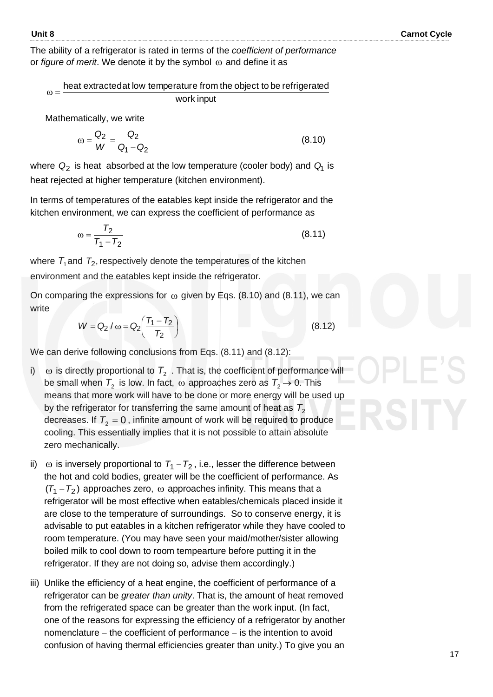The ability of a refrigerator is rated in terms of the *coefficient of performance* or *figure of merit*. We denote it by the symbol  $\omega$  and define it as

work input heat extracted at low temperature from the object to be refrigerated  $\omega =$ 

Mathematically, we write

$$
\omega = \frac{Q_2}{W} = \frac{Q_2}{Q_1 - Q_2}
$$
 (8.10)

where  $\mathsf{Q}_2$  is heat absorbed at the low temperature (cooler body) and  $\mathsf{Q}_1$  is heat rejected at higher temperature (kitchen environment).

In terms of temperatures of the eatables kept inside the refrigerator and the kitchen environment, we can express the coefficient of performance as

$$
\omega = \frac{T_2}{T_1 - T_2} \tag{8.11}
$$

where  $T_1$ and  $T_2$ , respectively denote the temperatures of the kitchen environment and the eatables kept inside the refrigerator.

On comparing the expressions for  $\omega$  given by Eqs. (8.10) and (8.11), we can write

$$
W = Q_2 / \omega = Q_2 \left( \frac{T_1 - T_2}{T_2} \right)
$$
 (8.12)

We can derive following conclusions from Eqs. (8.11) and (8.12):

- i)  $\omega$  is directly proportional to  $T_2$  . That is, the coefficient of performance will be small when  $\mathcal{T}_2$  is low. In fact,  $\omega$  approaches zero as  $\mathcal{T}_2 \rightarrow 0$ . This means that more work will have to be done or more energy will be used up by the refrigerator for transferring the same amount of heat as  $\, T_{2}^{}$ decreases. If  $T_{2} = 0$  , infinite amount of work will be required to produce cooling. This essentially implies that it is not possible to attain absolute zero mechanically.
- ii)  $\omega$  is inversely proportional to  $T_1 T_2$ , i.e., lesser the difference between the hot and cold bodies, greater will be the coefficient of performance. As  $(T_1 - T_2)$  approaches zero,  $\omega$  approaches infinity. This means that a refrigerator will be most effective when eatables/chemicals placed inside it are close to the temperature of surroundings. So to conserve energy, it is advisable to put eatables in a kitchen refrigerator while they have cooled to room temperature. (You may have seen your maid/mother/sister allowing boiled milk to cool down to room tempearture before putting it in the refrigerator. If they are not doing so, advise them accordingly.)
- iii) Unlike the efficiency of a heat engine, the coefficient of performance of a refrigerator can be *greater than unity*. That is, the amount of heat removed from the refrigerated space can be greater than the work input. (In fact, one of the reasons for expressing the efficiency of a refrigerator by another nomenclature – the coefficient of performance – is the intention to avoid confusion of having thermal efficiencies greater than unity.) To give you an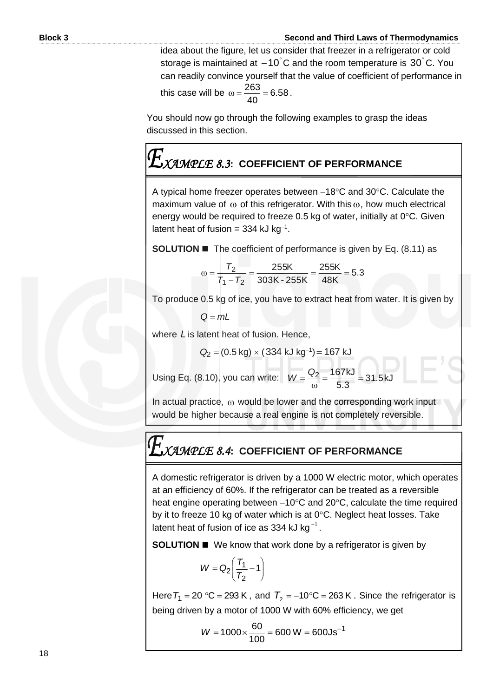idea about the figure, let us consider that freezer in a refrigerator or cold storage is maintained at  $-10^{\circ}$ C and the room temperature is 30 $^{\circ}$ C. You can readily convince yourself that the value of coefficient of performance in this case will be  $\omega = \frac{288}{10} = 6.58$ 40  $\omega = \frac{263}{10} = 6.58$ .

You should now go through the following examples to grasp the ideas discussed in this section.

## *XAMPLE 8.3***: COEFFICIENT OF PERFORMANCE**

A typical home freezer operates between −18°C and 30°C. Calculate the maximum value of  $\omega$  of this refrigerator. With this  $\omega$ , how much electrical energy would be required to freeze 0.5 kg of water, initially at  $0^\circ$ C. Given latent heat of fusion = 334 kJ kg<sup>-1</sup>.

**SOLUTION ■** The coefficient of performance is given by Eq. (8.11) as

$$
\omega = \frac{T_2}{T_1 - T_2} = \frac{255K}{303K - 255K} = \frac{255K}{48K} = 5.3
$$

To produce 0.5 kg of ice, you have to extract heat from water. It is given by

$$
Q = mL
$$

where *L* is latent heat of fusion. Hence,

$$
Q_2 = (0.5 \text{ kg}) \times (334 \text{ kJ kg}^{-1}) = 167 \text{ kJ}
$$

Using Eq. (8.10), you can write:  $W = \frac{32}{5} = \frac{107}{50} = 31.5$ kJ 5.3  $\frac{2}{2} = \frac{167kJ}{5.8} =$  $\omega$  $W = \frac{Q}{A}$ 

In actual practice,  $\omega$  would be lower and the corresponding work input would be higher because a real engine is not completely reversible.

### *XAMPLE 8.4***: COEFFICIENT OF PERFORMANCE**

A domestic refrigerator is driven by a 1000 W electric motor, which operates at an efficiency of 60%. If the refrigerator can be treated as a reversible heat engine operating between −10°C and 20°C, calculate the time required by it to freeze 10 kg of water which is at  $0^{\circ}$ C. Neglect heat losses. Take latent heat of fusion of ice as 334 kJ kg $^{\text{-}1}$  .

**SOLUTION ■** We know that work done by a refrigerator is given by

$$
W = Q_2 \left( \frac{T_1}{T_2} - 1 \right)
$$

Here  $T_1$  = 20 °C = 293 K , and  $T_2$  = –10°C = 263 K . Since the refrigerator is being driven by a motor of 1000 W with 60% efficiency, we get

$$
W = 1000 \times \frac{60}{100} = 600 \text{ W} = 600 \text{ Js}^{-1}
$$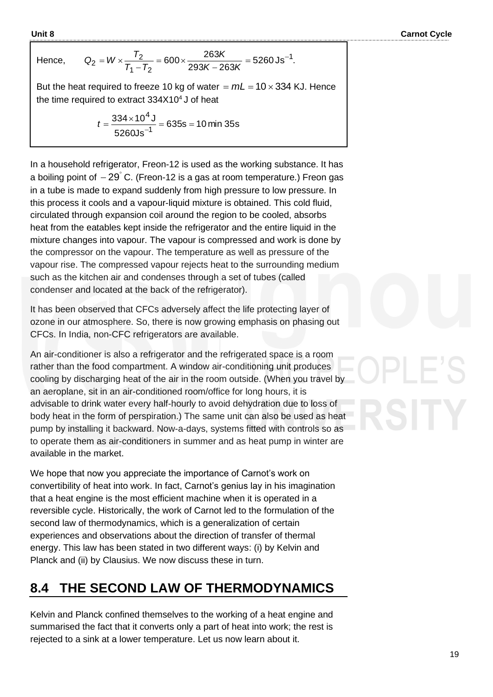**Unit 8** Carnot Cycle

Hend

ce, 
$$
Q_2 = W \times \frac{T_2}{T_1 - T_2} = 600 \times \frac{263K}{293K - 263K} = 5260 \text{Js}^{-1}
$$
.

But the heat required to freeze 10 kg of water  $= mL = 10 \times 334$  KJ. Hence the time required to extract  $334X10<sup>4</sup>$  J of heat

$$
t = \frac{334 \times 10^4 \text{ J}}{5260 \text{Js}^{-1}} = 635 \text{s} = 10 \text{ min } 35 \text{s}
$$

In a household refrigerator, Freon-12 is used as the working substance. It has a boiling point of  $-29^{\circ}$  C. (Freon-12 is a gas at room temperature.) Freon gas in a tube is made to expand suddenly from high pressure to low pressure. In this process it cools and a vapour-liquid mixture is obtained. This cold fluid, circulated through expansion coil around the region to be cooled, absorbs heat from the eatables kept inside the refrigerator and the entire liquid in the mixture changes into vapour. The vapour is compressed and work is done by the compressor on the vapour. The temperature as well as pressure of the vapour rise. The compressed vapour rejects heat to the surrounding medium such as the kitchen air and condenses through a set of tubes (called condenser and located at the back of the refrigerator).

It has been observed that CFCs adversely affect the life protecting layer of ozone in our atmosphere. So, there is now growing emphasis on phasing out CFCs. In India, non-CFC refrigerators are available.

An air-conditioner is also a refrigerator and the refrigerated space is a room rather than the food compartment. A window air-conditioning unit produces cooling by discharging heat of the air in the room outside. (When you travel by an aeroplane, sit in an air-conditioned room/office for long hours, it is advisable to drink water every half-hourly to avoid dehydration due to loss of body heat in the form of perspiration.) The same unit can also be used as heat pump by installing it backward. Now-a-days, systems fitted with controls so as to operate them as air-conditioners in summer and as heat pump in winter are available in the market.

We hope that now you appreciate the importance of Carnot's work on convertibility of heat into work. In fact, Carnot's genius lay in his imagination that a heat engine is the most efficient machine when it is operated in a reversible cycle. Historically, the work of Carnot led to the formulation of the second law of thermodynamics, which is a generalization of certain experiences and observations about the direction of transfer of thermal energy. This law has been stated in two different ways: (i) by Kelvin and Planck and (ii) by Clausius. We now discuss these in turn.

#### **8.4 THE SECOND LAW OF THERMODYNAMICS**

Kelvin and Planck confined themselves to the working of a heat engine and summarised the fact that it converts only a part of heat into work; the rest is rejected to a sink at a lower temperature. Let us now learn about it.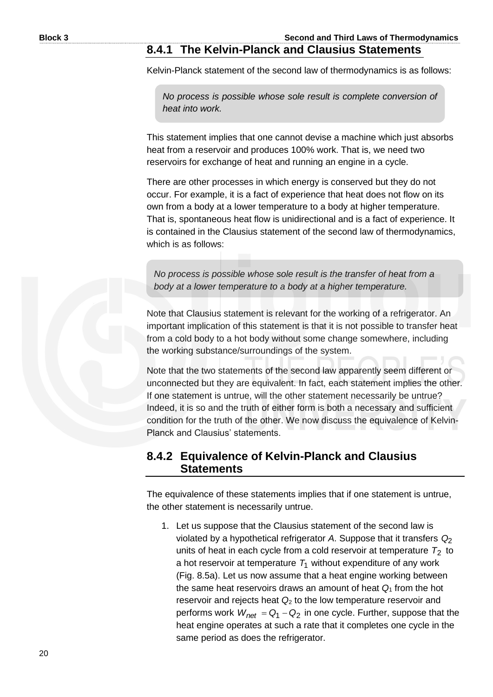#### **8.4.1 The Kelvin-Planck and Clausius Statements**

Kelvin-Planck statement of the second law of thermodynamics is as follows:

*No process is possible whose sole result is complete conversion of heat into work.*

This statement implies that one cannot devise a machine which just absorbs heat from a reservoir and produces 100% work. That is, we need two reservoirs for exchange of heat and running an engine in a cycle.

There are other processes in which energy is conserved but they do not occur. For example, it is a fact of experience that heat does not flow on its own from a body at a lower temperature to a body at higher temperature. That is, spontaneous heat flow is unidirectional and is a fact of experience. It is contained in the Clausius statement of the second law of thermodynamics, which is as follows:

*No process is possible whose sole result is the transfer of heat from a body at a lower temperature to a body at a higher temperature.*

Note that Clausius statement is relevant for the working of a refrigerator. An important implication of this statement is that it is not possible to transfer heat from a cold body to a hot body without some change somewhere, including the working substance/surroundings of the system.

Note that the two statements of the second law apparently seem different or unconnected but they are equivalent. In fact, each statement implies the other. If one statement is untrue, will the other statement necessarily be untrue? Indeed, it is so and the truth of either form is both a necessary and sufficient condition for the truth of the other. We now discuss the equivalence of Kelvin-Planck and Clausius' statements.

#### **8.4.2 Equivalence of Kelvin-Planck and Clausius Statements**

The equivalence of these statements implies that if one statement is untrue, the other statement is necessarily untrue.

1. Let us suppose that the Clausius statement of the second law is violated by a hypothetical refrigerator *A*. Suppose that it transfers *Q*2 units of heat in each cycle from a cold reservoir at temperature  $T_2$  to a hot reservoir at temperature  $T_1$  without expenditure of any work (Fig. 8.5a). Let us now assume that a heat engine working between the same heat reservoirs draws an amount of heat *Q*<sup>1</sup> from the hot reservoir and rejects heat *Q*<sup>2</sup> to the low temperature reservoir and performs work *W<sub>net</sub>* = Q<sub>1</sub> − Q<sub>2</sub> in one cycle. Further, suppose that the heat engine operates at such a rate that it completes one cycle in the same period as does the refrigerator.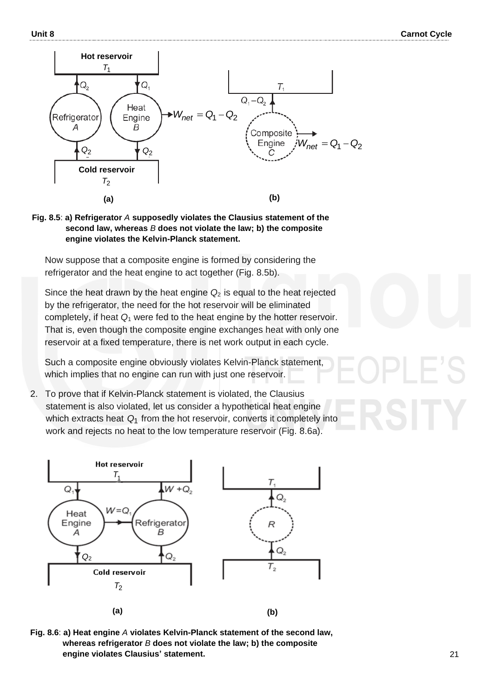



**Fig. 8.5**: **a) Refrigerator** *A* **supposedly violates the Clausius statement of the second law, whereas** *B* **does not violate the law; b) the composite engine violates the Kelvin-Planck statement.** 

Now suppose that a composite engine is formed by considering the refrigerator and the heat engine to act together (Fig. 8.5b).

Since the heat drawn by the heat engine  $Q_2$  is equal to the heat rejected by the refrigerator, the need for the hot reservoir will be eliminated completely, if heat *Q*<sup>1</sup> were fed to the heat engine by the hotter reservoir. That is, even though the composite engine exchanges heat with only one reservoir at a fixed temperature, there is net work output in each cycle.

Such a composite engine obviously violates Kelvin-Planck statement, which implies that no engine can run with just one reservoir.

2. To prove that if Kelvin-Planck statement is violated, the Clausius statement is also violated, let us consider a hypothetical heat engine which extracts heat Q<sub>1</sub> from the hot reservoir, converts it completely into work and rejects no heat to the low temperature reservoir (Fig. 8.6a).



**Fig. 8.6**: **a) Heat engine** *A* **violates Kelvin-Planck statement of the second law, whereas refrigerator** *B* **does not violate the law; b) the composite engine violates Clausius' statement.**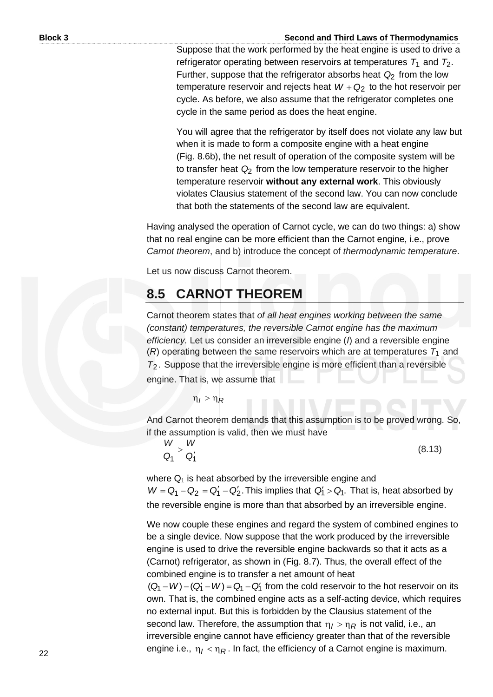Suppose that the work performed by the heat engine is used to drive a refrigerator operating between reservoirs at temperatures  $\tau_1$  and  $\tau_2$ . Further, suppose that the refrigerator absorbs heat *Q*2 from the low temperature reservoir and rejects heat  $W$  +  $\mathsf{Q}_2$  to the hot reservoir per cycle. As before, we also assume that the refrigerator completes one cycle in the same period as does the heat engine.

You will agree that the refrigerator by itself does not violate any law but when it is made to form a composite engine with a heat engine (Fig. 8.6b), the net result of operation of the composite system will be to transfer heat  $\mathsf{Q}_2$  from the low temperature reservoir to the higher temperature reservoir **without any external work**. This obviously violates Clausius statement of the second law. You can now conclude that both the statements of the second law are equivalent.

Having analysed the operation of Carnot cycle, we can do two things: a) show that no real engine can be more efficient than the Carnot engine, i.e., prove *Carnot theorem*, and b) introduce the concept of *thermodynamic temperature*.

Let us now discuss Carnot theorem.

#### **8.5 CARNOT THEOREM**

Carnot theorem states that *of all heat engines working between the same (constant) temperatures, the reversible Carnot engine has the maximum efficiency.* Let us consider an irreversible engine (*I*) and a reversible engine  $(R)$  operating between the same reservoirs which are at temperatures  $T_1$  and *T*2. Suppose that the irreversible engine is more efficient than a reversible engine. That is, we assume that

 $\eta_I > \eta_R$ 

And Carnot theorem demands that this assumption is to be proved wrong. So, if the assumption is valid, then we must have

*Q*<sup>11</sup> *W Q W*  $>\frac{11}{Q_1}$ 

(8.13)

where  $Q_1$  is heat absorbed by the irreversible engine and  $W = Q_1 - Q_2 = Q_1' - Q_2'$ . This implies that  $Q_1' > Q_1$ . That is, heat absorbed by the reversible engine is more than that absorbed by an irreversible engine.

We now couple these engines and regard the system of combined engines to be a single device. Now suppose that the work produced by the irreversible engine is used to drive the reversible engine backwards so that it acts as a (Carnot) refrigerator, as shown in (Fig. 8.7). Thus, the overall effect of the combined engine is to transfer a net amount of heat

 $(Q_1 - W) - (Q_1' - W) = Q_1 - Q_1'$  from the cold reservoir to the hot reservoir on its own. That is, the combined engine acts as a self-acting device, which requires no external input. But this is forbidden by the Clausius statement of the second law. Therefore, the assumption that  $\eta_I > \eta_R$  is not valid, i.e., an irreversible engine cannot have efficiency greater than that of the reversible engine i.e., η<sub>/</sub> < η<sub>R</sub>. In fact, the efficiency of a Carnot engine is maximum.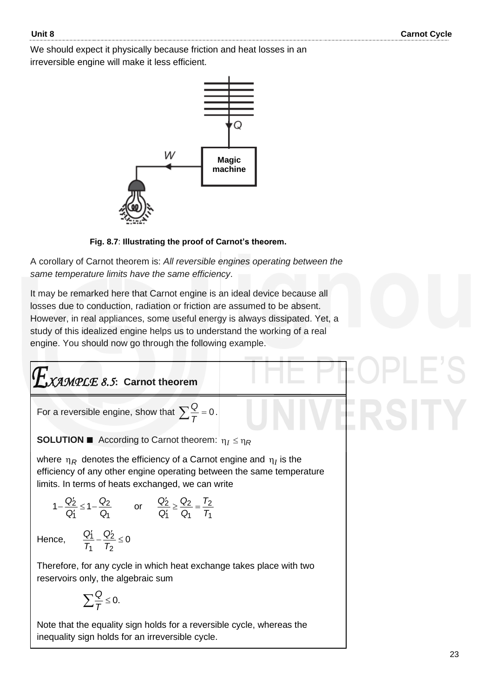We should expect it physically because friction and heat losses in an irreversible engine will make it less efficient.



**Fig. 8.7**: **Illustrating the proof of Carnot's theorem.**

A corollary of Carnot theorem is: *All reversible engines operating between the same temperature limits have the same efficiency*.

It may be remarked here that Carnot engine is an ideal device because all losses due to conduction, radiation or friction are assumed to be absent. However, in real appliances, some useful energy is always dissipated. Yet, a study of this idealized engine helps us to understand the working of a real engine. You should now go through the following example.

$$
E_{\text{XAMPLE 8.5: Carnot theorem}}
$$

For a reversible engine, show that  $\sum \frac{Q}{T} = 0$  $\frac{Q}{T} = 0$ .

**SOLUTION**  $\blacksquare$  According to Carnot theorem:  $\eta_I \leq \eta_R$ 

where  $\eta_R$  denotes the efficiency of a Carnot engine and  $\eta_I$  is the efficiency of any other engine operating between the same temperature limits. In terms of heats exchanged, we can write

$$
1-\frac{Q'_2}{Q'_1}\leq 1-\frac{Q_2}{Q_1}\qquad\text{or}\qquad \frac{Q'_2}{Q'_1}\geq \frac{Q_2}{Q_1}=\frac{T_2}{T_1}
$$

Hence,  $\frac{q_1}{T} - \frac{q_2}{T} \leq 0$ 2 2 1  $\frac{q_1'}{q} - \frac{Q_2'}{q} \leq$ *T Q T Q*

Therefore, for any cycle in which heat exchange takes place with two reservoirs only, the algebraic sum

$$
\sum \frac{Q}{T} \leq 0.
$$

Note that the equality sign holds for a reversible cycle, whereas the inequality sign holds for an irreversible cycle.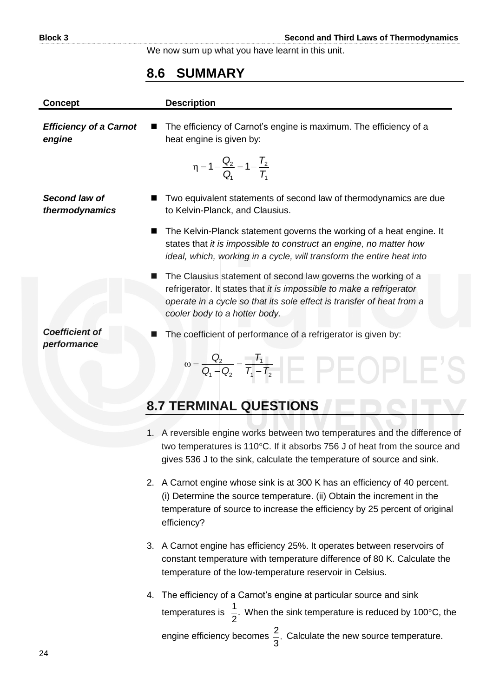We now sum up what you have learnt in this unit.

#### **8.6 SUMMARY**

| <b>Concept</b>                          | <b>Description</b>                                                                                                                                                                                                                              |
|-----------------------------------------|-------------------------------------------------------------------------------------------------------------------------------------------------------------------------------------------------------------------------------------------------|
| <b>Efficiency of a Carnot</b><br>engine | The efficiency of Carnot's engine is maximum. The efficiency of a<br>heat engine is given by:                                                                                                                                                   |
|                                         | $\eta = 1 - \frac{Q_2}{Q} = 1 - \frac{T_2}{T_1}$                                                                                                                                                                                                |
| Second law of<br>thermodynamics         | Two equivalent statements of second law of thermodynamics are due<br>to Kelvin-Planck, and Clausius.                                                                                                                                            |
| ■                                       | The Kelvin-Planck statement governs the working of a heat engine. It<br>states that it is impossible to construct an engine, no matter how<br>ideal, which, working in a cycle, will transform the entire heat into                             |
|                                         | The Clausius statement of second law governs the working of a<br>refrigerator. It states that it is impossible to make a refrigerator<br>operate in a cycle so that its sole effect is transfer of heat from a<br>cooler body to a hotter body. |
| <b>Coefficient of</b><br>performance    | The coefficient of performance of a refrigerator is given by:                                                                                                                                                                                   |
|                                         | $\omega = \frac{Q_2}{Q_1 - Q_2} = \frac{I_1}{T_1 - T_2}$                                                                                                                                                                                        |
|                                         | <b>8.7 TERMINAL QUESTIONS</b>                                                                                                                                                                                                                   |
|                                         | 1. A reversible engine works between two temperatures and the difference of<br>two temperatures is 110°C. If it absorbs 756 J of heat from the source and                                                                                       |

2. A Carnot engine whose sink is at 300 K has an efficiency of 40 percent. (i) Determine the source temperature. (ii) Obtain the increment in the temperature of source to increase the efficiency by 25 percent of original efficiency?

gives 536 J to the sink, calculate the temperature of source and sink.

- 3. A Carnot engine has efficiency 25%. It operates between reservoirs of constant temperature with temperature difference of 80 K. Calculate the temperature of the low-temperature reservoir in Celsius.
- 4. The efficiency of a Carnot's engine at particular source and sink temperatures is  $\frac{1}{2}$ . 2 1. When the sink temperature is reduced by 100°C, the engine efficiency becomes  $\frac{2}{5}$ . 3  $\frac{2}{5}$ . Calculate the new source temperature.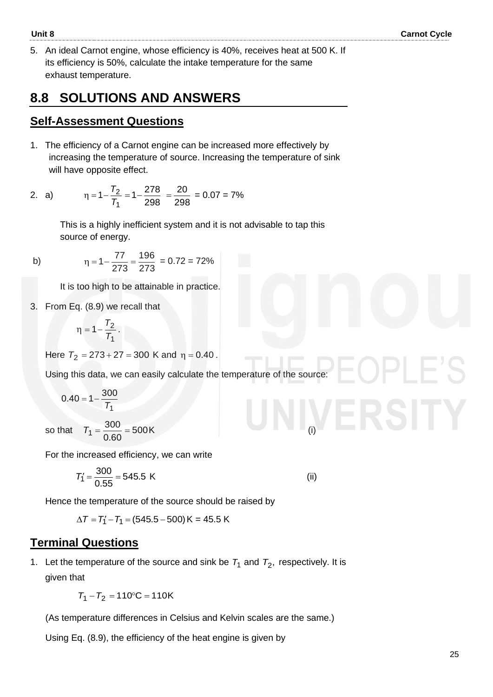5. An ideal Carnot engine, whose efficiency is 40%, receives heat at 500 K. If its efficiency is 50%, calculate the intake temperature for the same exhaust temperature.

#### **8.8 SOLUTIONS AND ANSWERS**

#### **Self-Assessment Questions**

1. The efficiency of a Carnot engine can be increased more effectively by increasing the temperature of source. Increasing the temperature of sink will have opposite effect.

2. a) 
$$
\eta = 1 - \frac{T_2}{T_1} = 1 - \frac{278}{298} = \frac{20}{298} = 0.07 = 7\%
$$

This is a highly inefficient system and it is not advisable to tap this source of energy.

b) 
$$
\eta = 1 - \frac{77}{273} = \frac{196}{273} = 0.72 = 72\%
$$

It is too high to be attainable in practice.

3. From Eq. (8.9) we recall that

$$
\eta=1-\frac{T_2}{T_1}\,.
$$

Here  $T_2 = 273 + 27 = 300$  K and η = 0.40.

Using this data, we can easily calculate the temperature of the source:

$$
0.40 = 1 - \frac{300}{T_1}
$$

so that  $T_1 = \frac{600}{300} = 500$  $T_1 = \frac{300}{0.60} =$ K (i)

For the increased efficiency, we can write

$$
T_1' = \frac{300}{0.55} = 545.5 \text{ K}
$$
 (ii)

Hence the temperature of the source should be raised by

 $\Delta T = T_1' - T_1 = (545.5 - 500) \,\text{K} = 45.5 \,\text{K}$ 

#### **Terminal Questions**

1. Let the temperature of the source and sink be  $T_1$  and  $T_2$ , respectively. It is given that

 $T_1 - T_2 = 110$  °C = 110K

(As temperature differences in Celsius and Kelvin scales are the same.)

Using Eq. (8.9), the efficiency of the heat engine is given by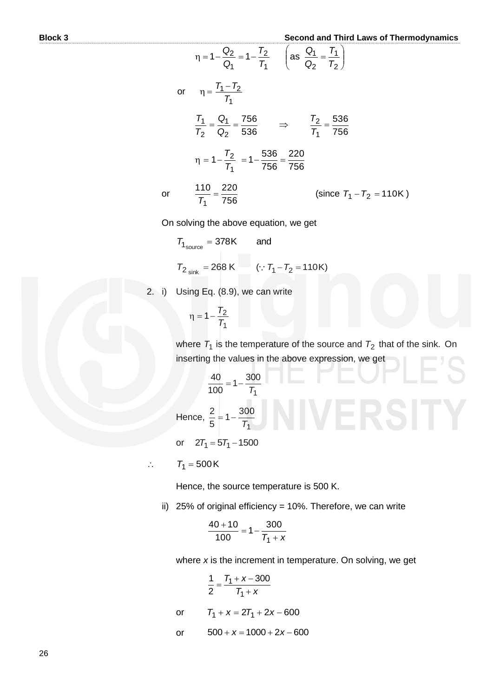$$
\eta = 1 - \frac{Q_2}{Q_1} = 1 - \frac{T_2}{T_1} \qquad \left( \text{as } \frac{Q_1}{Q_2} = \frac{T_1}{T_2} \right)
$$
  
or 
$$
\eta = \frac{T_1 - T_2}{T_1}
$$

$$
\frac{T_1}{T_2} = \frac{Q_1}{Q_2} = \frac{756}{536} \qquad \Rightarrow \qquad \frac{T_2}{T_1} = \frac{536}{756}
$$

$$
\eta = 1 - \frac{T_2}{T_1} = 1 - \frac{536}{756} = \frac{220}{756}
$$

$$
\frac{110}{T_1} = \frac{220}{756} \qquad \qquad \text{(since } T_1 - T_2 = 110 \text{K})
$$

On solving the above equation, we get

$$
T_{1_{\text{source}}} = 378 \text{K}
$$
 and  
 $T_{2_{\text{sink}}} = 268 \text{K}$  ( $\because T_1 - T_2 = 110 \text{K}$ )

2. i) Using Eq. (8.9), we can write

$$
\eta = 1 - \frac{T_2}{T_1}
$$

or

where  $T_1$  is the temperature of the source and  $T_2$  that of the sink. On inserting the values in the above expression, we get

$$
\frac{40}{100} = 1 - \frac{300}{T_1}
$$
  
Hence,  $\frac{2}{5} = 1 - \frac{300}{T_1}$ 

or  $27_1 = 57_1 - 1500$ 

 $T_1 = 500K$ 

 $\mathbb{N}$ 

Hence, the source temperature is 500 K.

ii) 25% of original efficiency = 10%. Therefore, we can write

$$
\frac{40+10}{100} = 1 - \frac{300}{T_1 + x}
$$

where *x* is the increment in temperature. On solving, we get

$$
\frac{1}{2} = \frac{T_1 + x - 300}{T_1 + x}
$$
  
or 
$$
T_1 + x = 2T_1 + 2x - 600
$$
  
or 
$$
500 + x = 1000 + 2x - 600
$$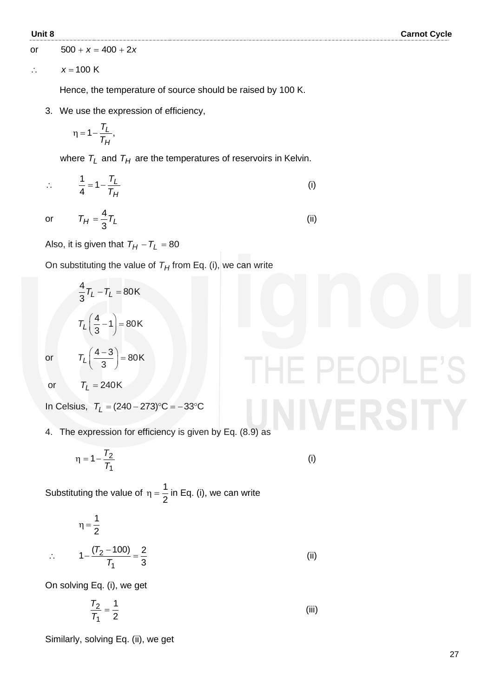or  $500 + x = 400 + 2x$ 

 $\therefore$ *x* = 100 K

Hence, the temperature of source should be raised by 100 K.

3. We use the expression of efficiency,

$$
\eta = 1 - \frac{T_L}{T_H},
$$

where  $\tau_{L}$  and  $\tau_{H}$  are the temperatures of reservoirs in Kelvin.

$$
\therefore \frac{1}{4} = 1 - \frac{T_L}{T_H} \tag{i}
$$

(ii)

 $\vdash$  ( )

or

 $T_H = \frac{1}{3}T_L$  $=\frac{4}{2}$ 

Also, it is given that  $T_H-T_L=80$ 

On substituting the value of  $T_H$  from Eq. (i), we can write

$$
\frac{4}{3}T_L - T_L = 80 \text{K}
$$
\n
$$
T_L \left(\frac{4}{3} - 1\right) = 80 \text{K}
$$
\n
$$
T_L \left(\frac{4 - 3}{3}\right) = 80 \text{K}
$$

or

or  $T_L = 240K$ 

 $\frac{1}{2}$ 

 $In Celsius, T<sub>L</sub> = (240 – 273) °C = −33 °C$ 

4. The expression for efficiency is given by Eq. (8.9) as

$$
\eta = 1 - \frac{T_2}{T_1} \tag{i}
$$

Substituting the value of 2  $\eta = \frac{1}{6}$  in Eq. (i), we can write

$$
\eta = \frac{1}{2}
$$
  

$$
\therefore \qquad 1 - \frac{(T_2 - 100)}{T_1} = \frac{2}{3}
$$
 (ii)

On solving Eq. (i), we get

$$
\frac{T_2}{T_1} = \frac{1}{2}
$$
 (iii)

Similarly, solving Eq. (ii), we get